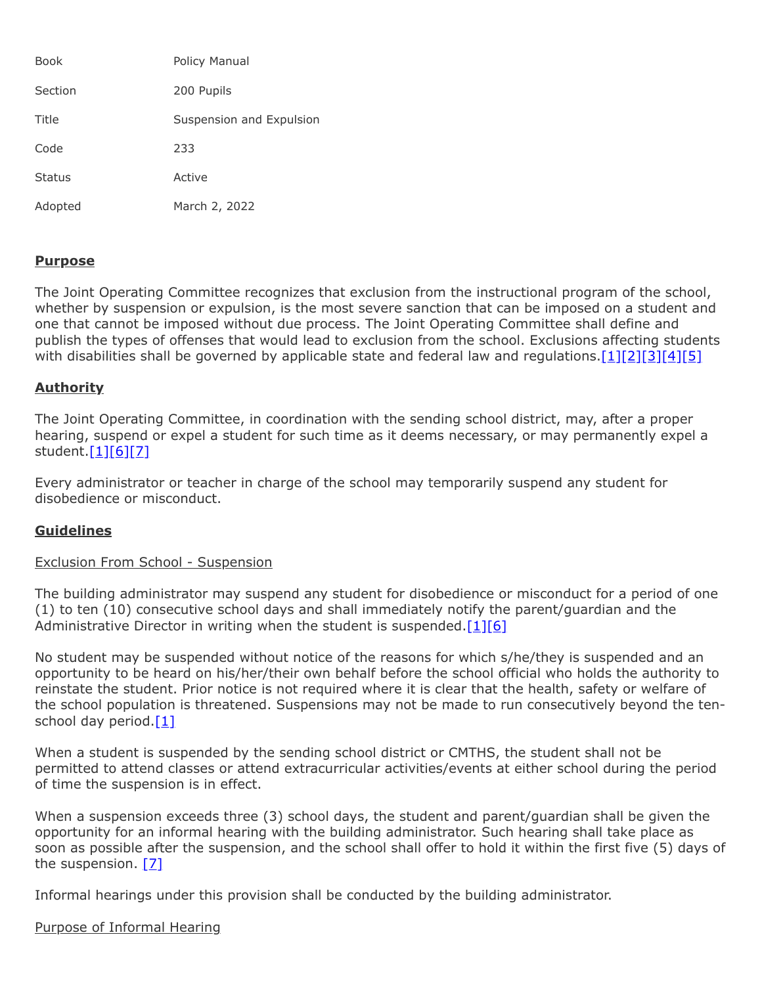| <b>Book</b>   | Policy Manual            |
|---------------|--------------------------|
| Section       | 200 Pupils               |
| Title         | Suspension and Expulsion |
| Code          | 233                      |
| <b>Status</b> | Active                   |
| Adopted       | March 2, 2022            |

### **Purpose**

The Joint Operating Committee recognizes that exclusion from the instructional program of the school, whether by suspension or expulsion, is the most severe sanction that can be imposed on a student and one that cannot be imposed without due process. The Joint Operating Committee shall define and publish the types of offenses that would lead to exclusion from the school. Exclusions affecting students with disabilities shall be governed by applicable state and federal law and regulations. $[1][2][3][4][5]$  $[1][2][3][4][5]$  $[1][2][3][4][5]$  $[1][2][3][4][5]$  $[1][2][3][4][5]$ 

## **Authority**

The Joint Operating Committee, in coordination with the sending school district, may, after a proper hearing, suspend or expel a student for such time as it deems necessary, or may permanently expel a student.[\[1\]](http://pacodeandbulletin.gov/Display/pacode?file=/secure/pacode/data/022/chapter12/s12.6.html&d=reduce)[\[6\]](http://www.legis.state.pa.us/cfdocs/legis/LI/uconsCheck.cfm?txtType=HTM&yr=1949&sessInd=0&smthLwInd=0&act=14&chpt=13&sctn=18&subsctn=0)[\[7\]](http://pacodeandbulletin.gov/Display/pacode?file=/secure/pacode/data/022/chapter12/s12.8.html&d=reduce)

Every administrator or teacher in charge of the school may temporarily suspend any student for disobedience or misconduct.

# **Guidelines**

### Exclusion From School - Suspension

The building administrator may suspend any student for disobedience or misconduct for a period of one (1) to ten (10) consecutive school days and shall immediately notify the parent/guardian and the Administrative Director in writing when the student is suspended. $[1][6]$  $[1][6]$ 

No student may be suspended without notice of the reasons for which s/he/they is suspended and an opportunity to be heard on his/her/their own behalf before the school official who holds the authority to reinstate the student. Prior notice is not required where it is clear that the health, safety or welfare of the school population is threatened. Suspensions may not be made to run consecutively beyond the tenschool day period. $[1]$ 

When a student is suspended by the sending school district or CMTHS, the student shall not be permitted to attend classes or attend extracurricular activities/events at either school during the period of time the suspension is in effect.

When a suspension exceeds three (3) school days, the student and parent/guardian shall be given the opportunity for an informal hearing with the building administrator. Such hearing shall take place as soon as possible after the suspension, and the school shall offer to hold it within the first five (5) days of the suspension. [\[7\]](http://pacodeandbulletin.gov/Display/pacode?file=/secure/pacode/data/022/chapter12/s12.8.html&d=reduce)

Informal hearings under this provision shall be conducted by the building administrator.

### Purpose of Informal Hearing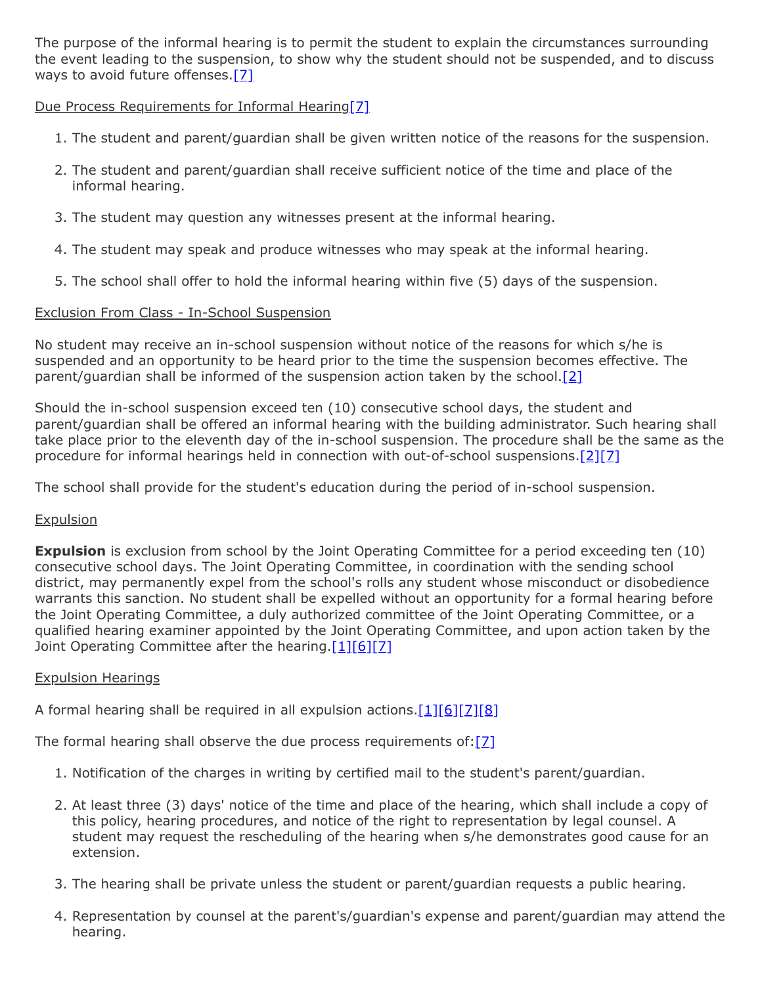The purpose of the informal hearing is to permit the student to explain the circumstances surrounding the event leading to the suspension, to show why the student should not be suspended, and to discuss ways to avoid future offenses[.\[7\]](http://pacodeandbulletin.gov/Display/pacode?file=/secure/pacode/data/022/chapter12/s12.8.html&d=reduce)

## Due Process Requirements for Informal Hearing[\[7\]](http://pacodeandbulletin.gov/Display/pacode?file=/secure/pacode/data/022/chapter12/s12.8.html&d=reduce)

- 1. The student and parent/guardian shall be given written notice of the reasons for the suspension.
- 2. The student and parent/guardian shall receive sufficient notice of the time and place of the informal hearing.
- 3. The student may question any witnesses present at the informal hearing.
- 4. The student may speak and produce witnesses who may speak at the informal hearing.
- 5. The school shall offer to hold the informal hearing within five (5) days of the suspension.

## Exclusion From Class - In-School Suspension

No student may receive an in-school suspension without notice of the reasons for which s/he is suspended and an opportunity to be heard prior to the time the suspension becomes effective. The parent/guardian shall be informed of the suspension action taken by the school.<sup>[\[2\]](http://pacodeandbulletin.gov/Display/pacode?file=/secure/pacode/data/022/chapter12/s12.7.html&d=reduce)</sup>

Should the in-school suspension exceed ten (10) consecutive school days, the student and parent/guardian shall be offered an informal hearing with the building administrator. Such hearing shall take place prior to the eleventh day of the in-school suspension. The procedure shall be the same as the procedure for informal hearings held in connection with out-of-school suspensions. $[2][7]$  $[2][7]$ 

The school shall provide for the student's education during the period of in-school suspension.

### **Expulsion**

**Expulsion** is exclusion from school by the Joint Operating Committee for a period exceeding ten (10) consecutive school days. The Joint Operating Committee, in coordination with the sending school district, may permanently expel from the school's rolls any student whose misconduct or disobedience warrants this sanction. No student shall be expelled without an opportunity for a formal hearing before the Joint Operating Committee, a duly authorized committee of the Joint Operating Committee, or a qualified hearing examiner appointed by the Joint Operating Committee, and upon action taken by the Joint Operating Committee after the hearing.[\[1\]](http://pacodeandbulletin.gov/Display/pacode?file=/secure/pacode/data/022/chapter12/s12.6.html&d=reduce)[\[6\]](http://www.legis.state.pa.us/cfdocs/legis/LI/uconsCheck.cfm?txtType=HTM&yr=1949&sessInd=0&smthLwInd=0&act=14&chpt=13&sctn=18&subsctn=0)[\[7\]](http://pacodeandbulletin.gov/Display/pacode?file=/secure/pacode/data/022/chapter12/s12.8.html&d=reduce)

### Expulsion Hearings

A formal hearing shall be required in all expulsion actions. $[1][6][7][8]$  $[1][6][7][8]$  $[1][6][7][8]$  $[1][6][7][8]$ 

The formal hearing shall observe the due process requirements of:[\[7\]](http://pacodeandbulletin.gov/Display/pacode?file=/secure/pacode/data/022/chapter12/s12.8.html&d=reduce)

- 1. Notification of the charges in writing by certified mail to the student's parent/guardian.
- 2. At least three (3) days' notice of the time and place of the hearing, which shall include a copy of this policy, hearing procedures, and notice of the right to representation by legal counsel. A student may request the rescheduling of the hearing when s/he demonstrates good cause for an extension.
- 3. The hearing shall be private unless the student or parent/guardian requests a public hearing.
- 4. Representation by counsel at the parent's/guardian's expense and parent/guardian may attend the hearing.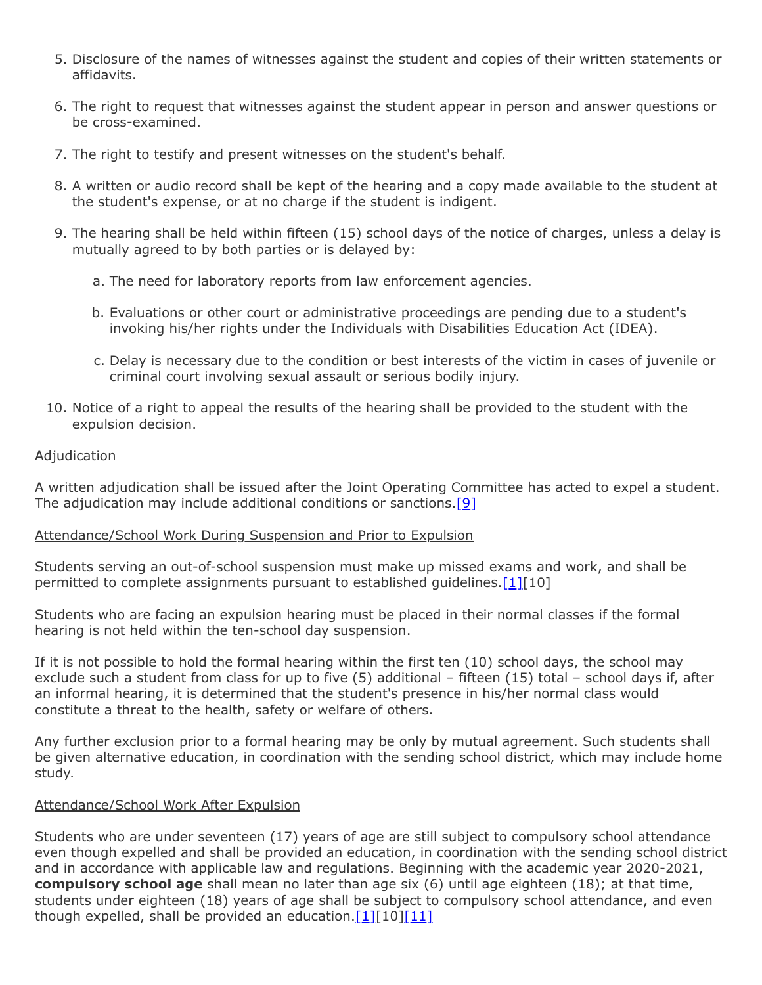- 5. Disclosure of the names of witnesses against the student and copies of their written statements or affidavits.
- 6. The right to request that witnesses against the student appear in person and answer questions or be cross-examined.
- 7. The right to testify and present witnesses on the student's behalf.
- 8. A written or audio record shall be kept of the hearing and a copy made available to the student at the student's expense, or at no charge if the student is indigent.
- 9. The hearing shall be held within fifteen (15) school days of the notice of charges, unless a delay is mutually agreed to by both parties or is delayed by:
	- a. The need for laboratory reports from law enforcement agencies.
	- b. Evaluations or other court or administrative proceedings are pending due to a student's invoking his/her rights under the Individuals with Disabilities Education Act (IDEA).
	- c. Delay is necessary due to the condition or best interests of the victim in cases of juvenile or criminal court involving sexual assault or serious bodily injury.
- 10. Notice of a right to appeal the results of the hearing shall be provided to the student with the expulsion decision.

#### **Adjudication**

A written adjudication shall be issued after the Joint Operating Committee has acted to expel a student. The adjudication may include additional conditions or sanctions. [\[9\]](http://www.legis.state.pa.us/cfdocs/legis/LI/consCheck.cfm?txtType=HTM&ttl=02&div=0&chpt=1)

#### Attendance/School Work During Suspension and Prior to Expulsion

Students serving an out-of-school suspension must make up missed exams and work, and shall be permitted to complete assignments pursuant to established quidelines.  $[1][10]$  $[1][10]$ 

Students who are facing an expulsion hearing must be placed in their normal classes if the formal hearing is not held within the ten-school day suspension.

If it is not possible to hold the formal hearing within the first ten (10) school days, the school may exclude such a student from class for up to five (5) additional – fifteen (15) total – school days if, after an informal hearing, it is determined that the student's presence in his/her normal class would constitute a threat to the health, safety or welfare of others.

Any further exclusion prior to a formal hearing may be only by mutual agreement. Such students shall be given alternative education, in coordination with the sending school district, which may include home study.

## Attendance/School Work After Expulsion

Students who are under seventeen (17) years of age are still subject to compulsory school attendance even though expelled and shall be provided an education, in coordination with the sending school district and in accordance with applicable law and regulations. Beginning with the academic year 2020-2021, **compulsory school age** shall mean no later than age six (6) until age eighteen (18); at that time, students under eighteen (18) years of age shall be subject to compulsory school attendance, and even though expelled, shall be provided an education. $[1][10][11]$  $[1][10][11]$